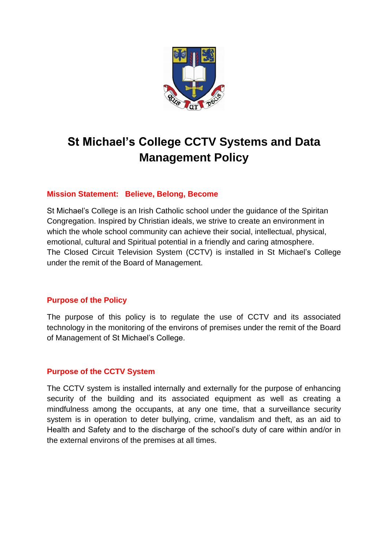

# **St Michael's College CCTV Systems and Data Management Policy**

### **Mission Statement: Believe, Belong, Become**

St Michael's College is an Irish Catholic school under the guidance of the Spiritan Congregation. Inspired by Christian ideals, we strive to create an environment in which the whole school community can achieve their social, intellectual, physical, emotional, cultural and Spiritual potential in a friendly and caring atmosphere. The Closed Circuit Television System (CCTV) is installed in St Michael's College under the remit of the Board of Management.

#### **Purpose of the Policy**

The purpose of this policy is to regulate the use of CCTV and its associated technology in the monitoring of the environs of premises under the remit of the Board of Management of St Michael's College.

### **Purpose of the CCTV System**

The CCTV system is installed internally and externally for the purpose of enhancing security of the building and its associated equipment as well as creating a mindfulness among the occupants, at any one time, that a surveillance security system is in operation to deter bullying, crime, vandalism and theft, as an aid to Health and Safety and to the discharge of the school's duty of care within and/or in the external environs of the premises at all times.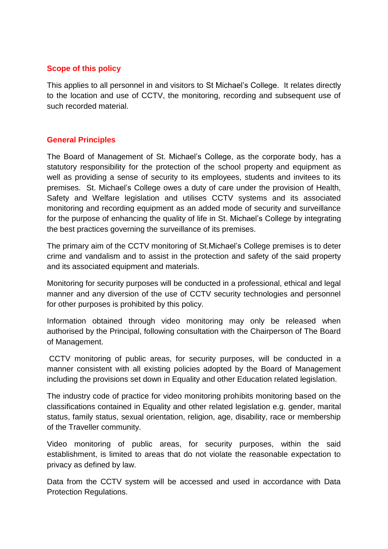### **Scope of this policy**

This applies to all personnel in and visitors to St Michael's College. It relates directly to the location and use of CCTV, the monitoring, recording and subsequent use of such recorded material.

### **General Principles**

The Board of Management of St. Michael's College, as the corporate body, has a statutory responsibility for the protection of the school property and equipment as well as providing a sense of security to its employees, students and invitees to its premises. St. Michael's College owes a duty of care under the provision of Health, Safety and Welfare legislation and utilises CCTV systems and its associated monitoring and recording equipment as an added mode of security and surveillance for the purpose of enhancing the quality of life in St. Michael's College by integrating the best practices governing the surveillance of its premises.

The primary aim of the CCTV monitoring of St.Michael's College premises is to deter crime and vandalism and to assist in the protection and safety of the said property and its associated equipment and materials.

Monitoring for security purposes will be conducted in a professional, ethical and legal manner and any diversion of the use of CCTV security technologies and personnel for other purposes is prohibited by this policy.

Information obtained through video monitoring may only be released when authorised by the Principal, following consultation with the Chairperson of The Board of Management.

CCTV monitoring of public areas, for security purposes, will be conducted in a manner consistent with all existing policies adopted by the Board of Management including the provisions set down in Equality and other Education related legislation.

The industry code of practice for video monitoring prohibits monitoring based on the classifications contained in Equality and other related legislation e.g. gender, marital status, family status, sexual orientation, religion, age, disability, race or membership of the Traveller community.

Video monitoring of public areas, for security purposes, within the said establishment, is limited to areas that do not violate the reasonable expectation to privacy as defined by law.

Data from the CCTV system will be accessed and used in accordance with Data Protection Regulations.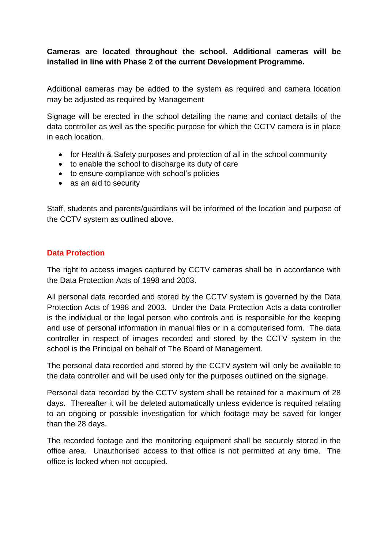### **Cameras are located throughout the school. Additional cameras will be installed in line with Phase 2 of the current Development Programme.**

Additional cameras may be added to the system as required and camera location may be adjusted as required by Management

Signage will be erected in the school detailing the name and contact details of the data controller as well as the specific purpose for which the CCTV camera is in place in each location.

- for Health & Safety purposes and protection of all in the school community
- to enable the school to discharge its duty of care
- to ensure compliance with school's policies
- as an aid to security

Staff, students and parents/guardians will be informed of the location and purpose of the CCTV system as outlined above.

### **Data Protection**

The right to access images captured by CCTV cameras shall be in accordance with the Data Protection Acts of 1998 and 2003.

All personal data recorded and stored by the CCTV system is governed by the Data Protection Acts of 1998 and 2003. Under the Data Protection Acts a data controller is the individual or the legal person who controls and is responsible for the keeping and use of personal information in manual files or in a computerised form. The data controller in respect of images recorded and stored by the CCTV system in the school is the Principal on behalf of The Board of Management.

The personal data recorded and stored by the CCTV system will only be available to the data controller and will be used only for the purposes outlined on the signage.

Personal data recorded by the CCTV system shall be retained for a maximum of 28 days. Thereafter it will be deleted automatically unless evidence is required relating to an ongoing or possible investigation for which footage may be saved for longer than the 28 days.

The recorded footage and the monitoring equipment shall be securely stored in the office area. Unauthorised access to that office is not permitted at any time. The office is locked when not occupied.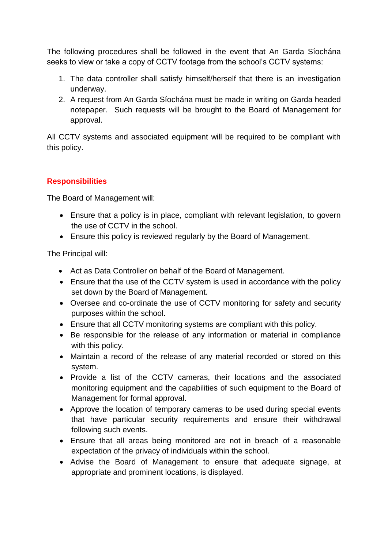The following procedures shall be followed in the event that An Garda Síochána seeks to view or take a copy of CCTV footage from the school's CCTV systems:

- 1. The data controller shall satisfy himself/herself that there is an investigation underway.
- 2. A request from An Garda Síochána must be made in writing on Garda headed notepaper. Such requests will be brought to the Board of Management for approval.

All CCTV systems and associated equipment will be required to be compliant with this policy.

## **Responsibilities**

The Board of Management will:

- Ensure that a policy is in place, compliant with relevant legislation, to govern the use of CCTV in the school.
- Ensure this policy is reviewed regularly by the Board of Management.

The Principal will:

- Act as Data Controller on behalf of the Board of Management.
- Ensure that the use of the CCTV system is used in accordance with the policy set down by the Board of Management.
- Oversee and co-ordinate the use of CCTV monitoring for safety and security purposes within the school.
- Ensure that all CCTV monitoring systems are compliant with this policy.
- Be responsible for the release of any information or material in compliance with this policy.
- Maintain a record of the release of any material recorded or stored on this system.
- Provide a list of the CCTV cameras, their locations and the associated monitoring equipment and the capabilities of such equipment to the Board of Management for formal approval.
- Approve the location of temporary cameras to be used during special events that have particular security requirements and ensure their withdrawal following such events.
- Ensure that all areas being monitored are not in breach of a reasonable expectation of the privacy of individuals within the school.
- Advise the Board of Management to ensure that adequate signage, at appropriate and prominent locations, is displayed.